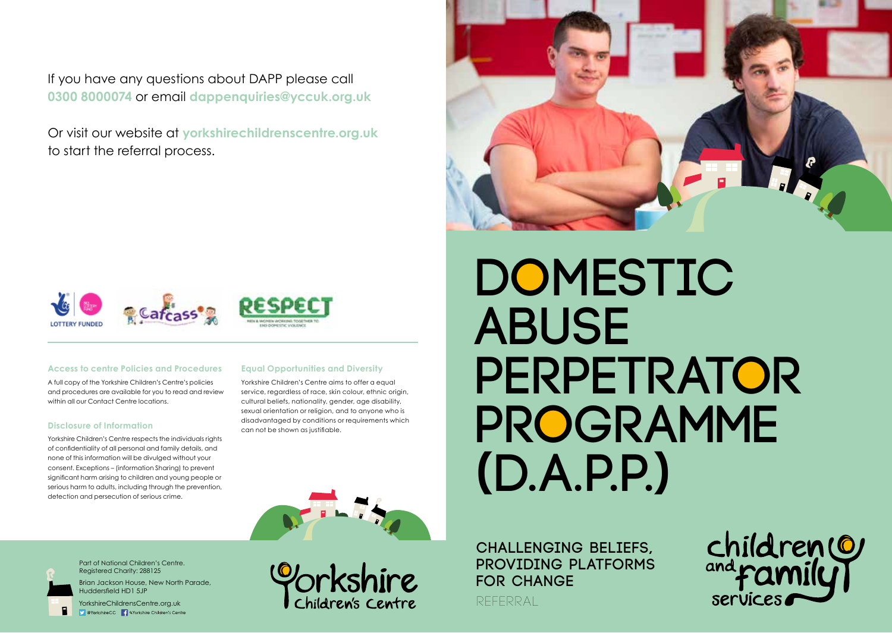If you have any questions about DAPP please call **0300 8000074** or email **dappenquiries@yccuk.org.uk**

Or visit our website at **yorkshirechildrenscentre.org.uk**  to start the referral process.





#### **Access to centre Policies and Procedures**

A full copy of the Yorkshire Children's Centre's policies and procedures are available for you to read and review within all our Contact Centre locations.

#### **Disclosure of Information**

Yorkshire Children's Centre respects the individuals rights of confidentiality of all personal and family details, and none of this information will be divulged without your consent. Exceptions – (information Sharing) to prevent significant harm arising to children and young people or serious harm to adults, including through the prevention, detection and persecution of serious crime.

### **Equal Opportunities and Diversity**

Yorkshire Children's Centre aims to offer a equal service, regardless of race, skin colour, ethnic origin, cultural beliefs, nationality, gender, age disability, sexual orientation or religion, and to anyone who is disadvantaged by conditions or requirements which can not be shown as justifiable.

**Domestic Abuse Perpetrator Programme (D.A.P.P.)**





П.

Part of National Children's Centre. Registered Charity: 288125

Brian Jackson House, New North Parade, Huddersfield HD1 5JP

YorkshireChildrensCentre.org.uk Contents of Content of Children's Centre Children's Centre

**Challenging Beliefs, Providing Platforms for Change**

referral